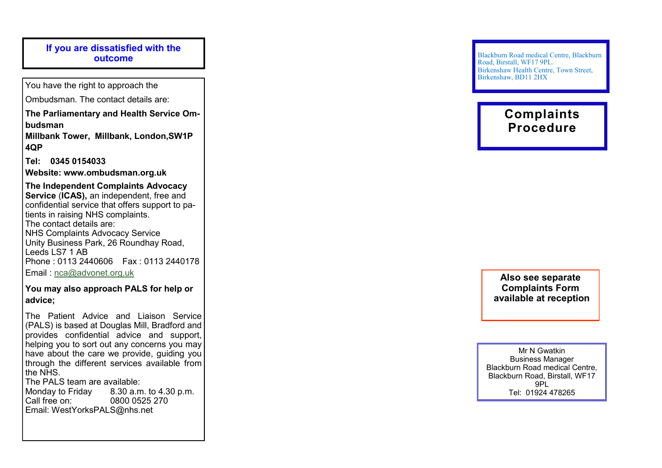# **If you are dissatisfied with the outcome**

You have the right to approach the

Ombudsman. The contact details are:

**The Parliamentary and Health Service Ombudsman**

**Millbank Tower, Millbank, London,SW1P 4QP**

**Tel: 0345 0154033**

**Website: www.ombudsman.org.uk**

**The Independent Complaints Advocacy Service**  (**ICAS),** an independent, free and confidential service that offers support to patients in raising NHS complaints. The contact details are: NHS Complaints Advocacy Service Unity Business Park, 26 Roundhay Road, Leeds LS7 1 AB Phone : 0113 2440606 Fax : 0113 2440178 Email : [nca@advonet.org.uk](mailto:nca@advonet.org.uk)

**You may also approach PALS for help or advice;**

The Patient Advice and Liaison Service (PALS) is based at Douglas Mill, Bradford and provides confidential advice and support, helping you to sort out any concerns you may have about the care we provide, quiding you through the different services available from the NHS.

The PALS team are available: Monday to Friday 8.30 a.m. to 4.30 p.m. 0800 0525 270 Email: WestYorksPALS@nhs.net

Blackburn Road medical Centre, Blackburn Road, Birstall, WF17 9PL. Birkenshaw Health Centre, Town Street, Birkenshaw, BD11 2HX

# **Complaints Procedure**

**Also see separate Complaints Form available at reception**

Mr N Gwatkin Business Manager Blackburn Road medical Centre, Blackburn Road, Birstall, WF17 9PL Tel: 01924 478265